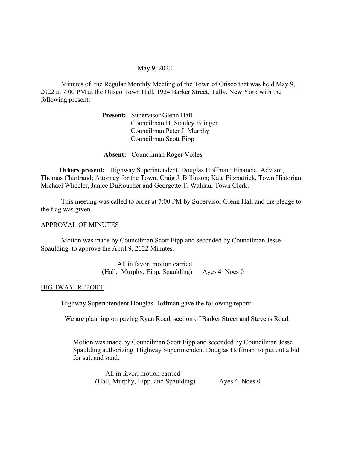# May 9, 2022

Minutes of the Regular Monthly Meeting of the Town of Otisco that was held May 9, 2022 at 7:00 PM at the Otisco Town Hall, 1924 Barker Street, Tully, New York with the following present:

> Present: Supervisor Glenn Hall Councilman H. Stanley Edinger Councilman Peter J. Murphy Councilman Scott Eipp

Absent: Councilman Roger Volles

 Others present: Highway Superintendent, Douglas Hoffman; Financial Advisor, Thomas Chartrand; Attorney for the Town, Craig J. Billinson; Kate Fitzpatrick, Town Historian, Michael Wheeler, Janice DuRoucher and Georgette T. Waldau, Town Clerk.

 This meeting was called to order at 7:00 PM by Supervisor Glenn Hall and the pledge to the flag was given.

## APPROVAL OF MINUTES

 Motion was made by Councilman Scott Eipp and seconded by Councilman Jesse Spaulding to approve the April 9, 2022 Minutes.

> All in favor, motion carried (Hall, Murphy, Eipp, Spaulding) Ayes 4 Noes 0

## HIGHWAY REPORT

Highway Superintendent Douglas Hoffman gave the following report:

We are planning on paving Ryan Road, section of Barker Street and Stevens Road.

Motion was made by Councilman Scott Eipp and seconded by Councilman Jesse Spaulding authorizing Highway Superintendent Douglas Hoffman to put out a bid for salt and sand.

 All in favor, motion carried (Hall, Murphy, Eipp, and Spaulding) Ayes 4 Noes 0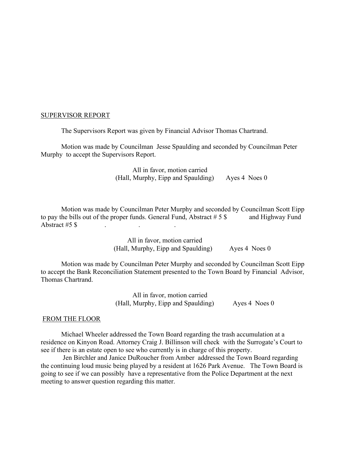# SUPERVISOR REPORT

The Supervisors Report was given by Financial Advisor Thomas Chartrand.

Motion was made by Councilman Jesse Spaulding and seconded by Councilman Peter Murphy to accept the Supervisors Report.

> All in favor, motion carried (Hall, Murphy, Eipp and Spaulding) Ayes 4 Noes 0

Motion was made by Councilman Peter Murphy and seconded by Councilman Scott Eipp to pay the bills out of the proper funds. General Fund, Abstract  $# 5$  \$ and Highway Fund Abstract  $#5$  \$

> All in favor, motion carried (Hall, Murphy, Eipp and Spaulding) Ayes 4 Noes 0

Motion was made by Councilman Peter Murphy and seconded by Councilman Scott Eipp to accept the Bank Reconciliation Statement presented to the Town Board by Financial Advisor, Thomas Chartrand.

> All in favor, motion carried (Hall, Murphy, Eipp and Spaulding) Ayes 4 Noes 0

## FROM THE FLOOR

Michael Wheeler addressed the Town Board regarding the trash accumulation at a residence on Kinyon Road. Attorney Craig J. Billinson will check with the Surrogate's Court to see if there is an estate open to see who currently is in charge of this property.

 Jen Birchler and Janice DuRoucher from Amber addressed the Town Board regarding the continuing loud music being played by a resident at 1626 Park Avenue. The Town Board is going to see if we can possibly have a representative from the Police Department at the next meeting to answer question regarding this matter.